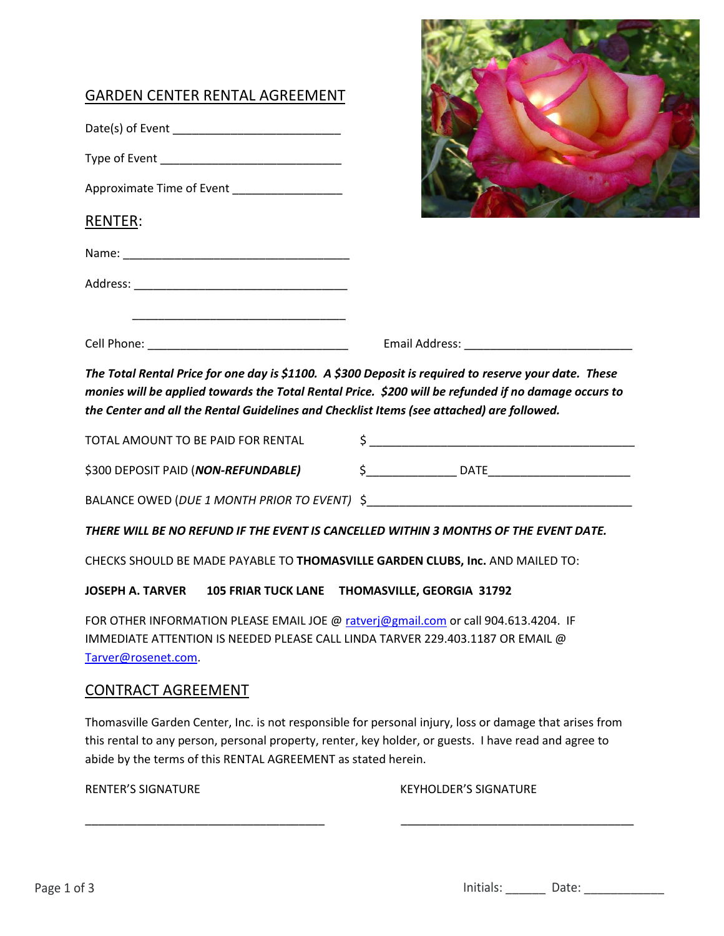| <b>GARDEN CENTER RENTAL AGREEMENT</b><br>Approximate Time of Event ___________________<br><b>RENTER:</b>                                                                                                                                                                                                   |               |
|------------------------------------------------------------------------------------------------------------------------------------------------------------------------------------------------------------------------------------------------------------------------------------------------------------|---------------|
|                                                                                                                                                                                                                                                                                                            |               |
| The Total Rental Price for one day is \$1100. A \$300 Deposit is required to reserve your date. These<br>monies will be applied towards the Total Rental Price. \$200 will be refunded if no damage occurs to<br>the Center and all the Rental Guidelines and Checklist Items (see attached) are followed. |               |
| TOTAL AMOUNT TO BE PAID FOR RENTAL                                                                                                                                                                                                                                                                         | $\frac{1}{2}$ |
| \$300 DEPOSIT PAID (NON-REFUNDABLE)                                                                                                                                                                                                                                                                        |               |
|                                                                                                                                                                                                                                                                                                            |               |
| THERE WILL BE NO REFUND IF THE EVENT IS CANCELLED WITHIN 3 MONTHS OF THE EVENT DATE.                                                                                                                                                                                                                       |               |

**KD START CARDS** 

CHECKS SHOULD BE MADE PAYABLE TO **THOMASVILLE GARDEN CLUBS, Inc.** AND MAILED TO:

**JOSEPH A. TARVER 105 FRIAR TUCK LANE THOMASVILLE, GEORGIA 31792** 

FOR OTHER INFORMATION PLEASE EMAIL JOE @ [ratverj@gmail.com](mailto:ratverj@gmail.com) or call 904.613.4204. IF IMMEDIATE ATTENTION IS NEEDED PLEASE CALL LINDA TARVER 229.403.1187 OR EMAIL @ [Tarver@rosenet.com.](mailto:Tarver@rosenet.com)

## CONTRACT AGREEMENT

Thomasville Garden Center, Inc. is not responsible for personal injury, loss or damage that arises from this rental to any person, personal property, renter, key holder, or guests. I have read and agree to abide by the terms of this RENTAL AGREEMENT as stated herein.

\_\_\_\_\_\_\_\_\_\_\_\_\_\_\_\_\_\_\_\_\_\_\_\_\_\_\_\_\_\_\_\_\_\_\_\_\_ \_\_\_\_\_\_\_\_\_\_\_\_\_\_\_\_\_\_\_\_\_\_\_\_\_\_\_\_\_\_\_\_\_\_\_\_

RENTER'S SIGNATURE THE RESERVE THAT A RESERVE THAT A RESERVE SIGNATURE THAT A RESERVE THAT A RESERVE THAT A RE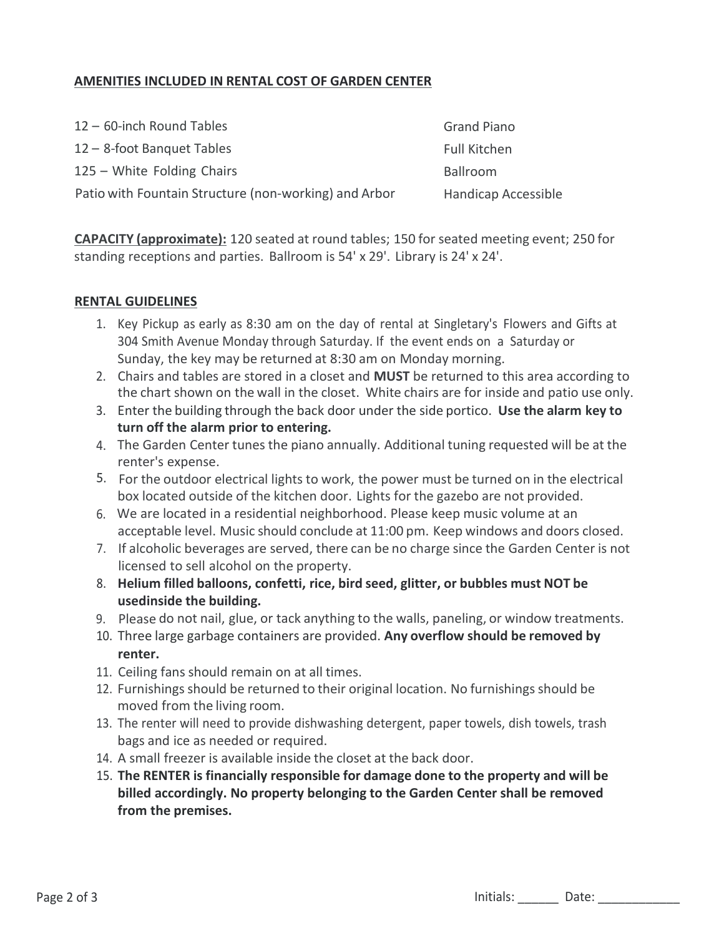### **AMENITIES INCLUDED IN RENTAL COST OF GARDEN CENTER**

 – 60-inch Round Tables – 8-foot Banquet Tables – White Folding Chairs Patio with Fountain Structure (non-working) and Arbor Grand Piano Full Kitchen Ballroom Handicap Accessible

**CAPACITY (approximate):** 120 seated at round tables; 150 for seated meeting event; 250 for standing receptions and parties. Ballroom is 54' x 29'. Library is 24' x 24'.

#### **RENTAL GUIDELINES**

- 1. Key Pickup as early as 8:30 am on the day of rental at Singletary's Flowers and Gifts at 304 Smith Avenue Monday through Saturday. If the event ends on a Saturday or Sunday, the key may be returned at 8:30 am on Monday morning.
- 2. Chairs and tables are stored in a closet and **MUST** be returned to this area according to the chart shown on the wall in the closet. White chairs are for inside and patio use only.
- 3. Enter the building through the back door under the side portico. **Use the alarm key to turn off the alarm prior to entering.**
- 4. The Garden Center tunes the piano annually. Additional tuning requested will be at the renter's expense.
- For the outdoor electrical lights to work, the power must be turned on in the electrical box located outside of the kitchen door. Lights for the gazebo are not provided.
- 6. We are located in a residential neighborhood. Please keep music volume at an acceptable level. Music should conclude at 11:00 pm. Keep windows and doors closed.
- 7. If alcoholic beverages are served, there can be no charge since the Garden Center is not licensed to sell alcohol on the property.
- 8. **Helium filled balloons, confetti, rice, bird seed, glitter, or bubbles must NOT be usedinside the building.**
- 9. Please do not nail, glue, or tack anything to the walls, paneling, or window treatments.
- 10. Three large garbage containers are provided. **Any overflow should be removed by renter.**
- 11. Ceiling fans should remain on at all times.
- 12. Furnishings should be returned to their original location. No furnishings should be moved from the living room.
- 13. The renter will need to provide dishwashing detergent, paper towels, dish towels, trash bags and ice as needed or required.
- 14. A small freezer is available inside the closet at the back door.
- 15. **The RENTER is financially responsible for damage done to the property and will be billed accordingly. No property belonging to the Garden Center shall be removed from the premises.**